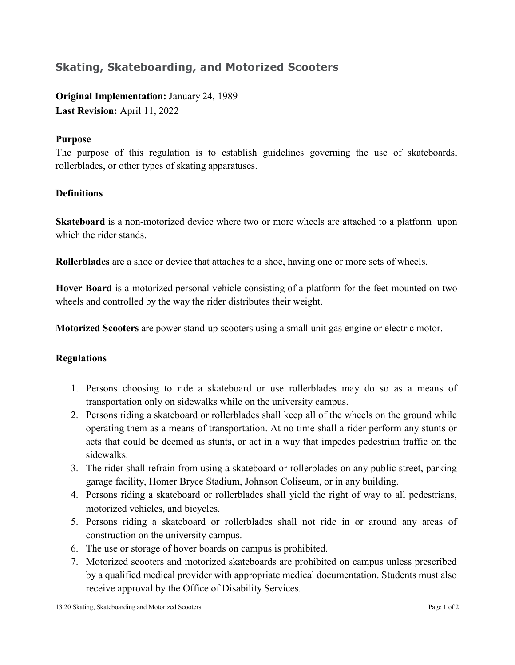## **Skating, Skateboarding, and Motorized Scooters**

**Original Implementation:** January 24, 1989 **Last Revision:** April 11, 2022

## **Purpose**

The purpose of this regulation is to establish guidelines governing the use of skateboards, rollerblades, or other types of skating apparatuses.

## **Definitions**

**Skateboard** is a non-motorized device where two or more wheels are attached to a platform upon which the rider stands.

**Rollerblades** are a shoe or device that attaches to a shoe, having one or more sets of wheels.

**Hover Board** is a motorized personal vehicle consisting of a platform for the feet mounted on two wheels and controlled by the way the rider distributes their weight.

**Motorized Scooters** are power stand-up scooters using a small unit gas engine or electric motor.

## **Regulations**

- 1. Persons choosing to ride a skateboard or use rollerblades may do so as a means of transportation only on sidewalks while on the university campus.
- 2. Persons riding a skateboard or rollerblades shall keep all of the wheels on the ground while operating them as a means of transportation. At no time shall a rider perform any stunts or acts that could be deemed as stunts, or act in a way that impedes pedestrian traffic on the sidewalks.
- 3. The rider shall refrain from using a skateboard or rollerblades on any public street, parking garage facility, Homer Bryce Stadium, Johnson Coliseum, or in any building.
- 4. Persons riding a skateboard or rollerblades shall yield the right of way to all pedestrians, motorized vehicles, and bicycles.
- 5. Persons riding a skateboard or rollerblades shall not ride in or around any areas of construction on the university campus.
- 6. The use or storage of hover boards on campus is prohibited.
- 7. Motorized scooters and motorized skateboards are prohibited on campus unless prescribed by a qualified medical provider with appropriate medical documentation. Students must also receive approval by the Office of Disability Services.